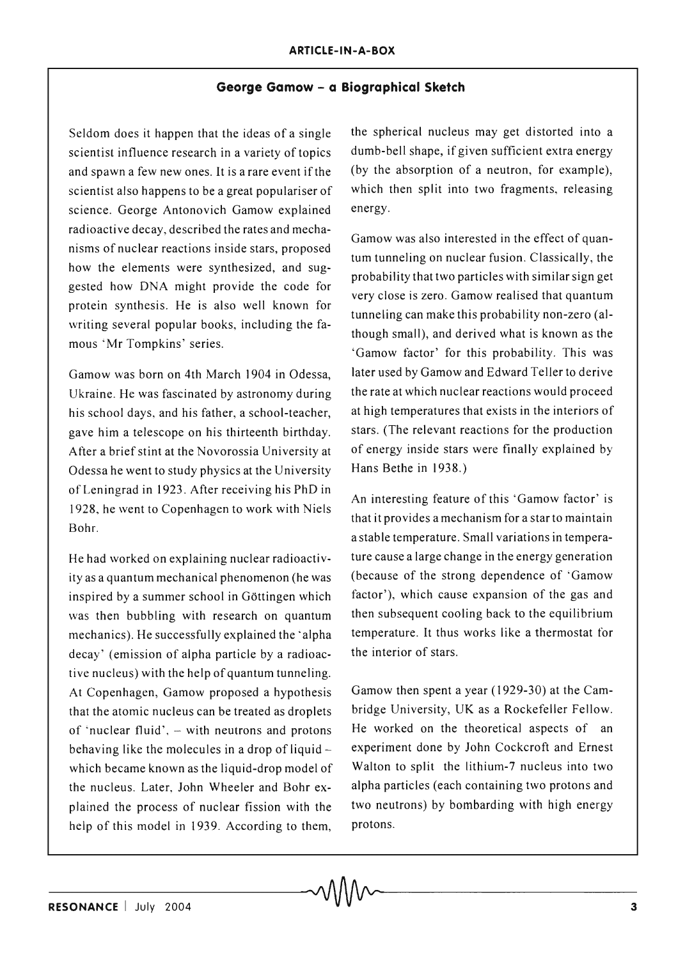## **George Gamow - a Biographical Sketch**

Seldom does it happen that the ideas of a single scientist influence research in a variety of topics and spawn a few new ones. It is a rare event if the scientist also happens to be a great populariser of science. George Antonovich Gamow explained radioactive decay, described the rates and mechanisms of nuclear reactions inside stars, proposed how the elements were synthesized, and suggested how DNA might provide the code for protein synthesis. He is also well known for writing several popular books, including the famous 'Mr Tompkins' series.

Gamow was born on 4th March 1904 in Odessa, Ukraine. He was fascinated by astronomy during his school days, and his father, a school-teacher, gave him a telescope on his thirteenth birthday. After a brief stint at the Novorossia University at Odessa he went to study physics at the University of Leningrad in 1923. After receiving his PhD in 1928, he went to Copenhagen to work with Niels Bohr.

He had worked on explaining nuclear radioactivity as a quantum mechanical phenomenon (he was inspired by a summer school in Göttingen which was then bubbling with research on quantum mechanics). He successfully explained the 'alpha decay' (emission of alpha particle by a radioactive nucleus) with the help of quantum tunneling. At Copenhagen, Gamow proposed a hypothesis that the atomic nucleus can be treated as droplets of 'nuclear fluid',  $-$  with neutrons and protons behaving like the molecules in a drop of liquid  $$ which became known as the liquid-drop model of the nucleus. Later, John Wheeler and Bohr explained the process of nuclear fission with the help of this model in 1939. According to them,

the spherical nucleus may get distorted into a dumb-bell shape, if given sufficient extra energy (by the absorption of a neutron, for example), which then split into two fragments, releasing energy.

Gamow was also interested in the effect of quantum tunneling on nuclear fusion. Classically, the probability that two particles with similar sign get very close is zero. Gamow realised that quantum tunneling can make this probability non-zero (although small), and derived what is known as the 'Gamow factor' for this probability. This was later used by Gamow and Edward Teller to derive the rate at which nuclear reactions would proceed at high temperatures that exists in the interiors of stars. (The relevant reactions for the production of energy inside stars were finally explained by Hans Bethe in 1938.)

An interesting feature of this 'Gamow factor' is that it provides a mechanism for a star to maintain a stable temperature. Small variations in temperature cause a large change in the energy generation (because of the strong dependence of 'Gamow factor'), which cause expansion of the gas and then subsequent cooling back to the equilibrium temperature. It thus works like a thermostat for the interior of stars.

Gamow then spent a year (1929-30) at the Cambridge University, UK as a Rockefeller Fellow. He worked on the theoretical aspects of an experiment done by John Cockcroft and Ernest Walton to split the lithium-7 nucleus into two alpha particles (each containing two protons and two neutrons) by bombarding with high energy protons.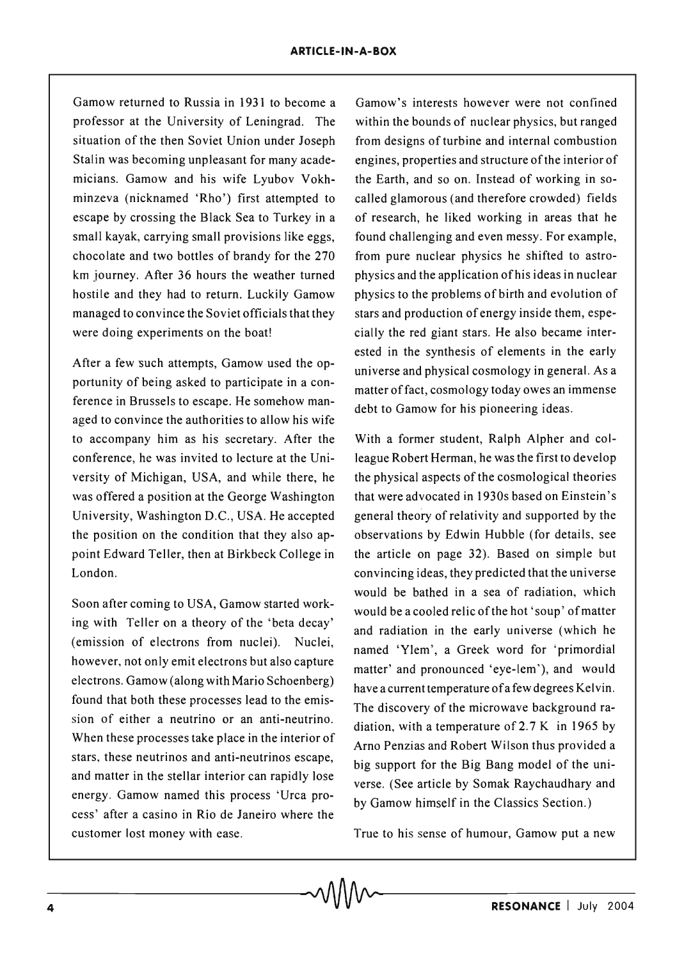Gamow returned to Russia in 1931 to become a professor at the University of Leningrad. The situation of the then Soviet Union under Joseph Stalin was becoming unpleasant for many academicians. Gamow and his wife Lyubov Vokhminzeva (nicknamed 'Rho') first attempted to escape by crossing the Black Sea to Turkey in a small kayak, carrying small provisions like eggs, chocolate and two bottles of brandy for the 270 km journey. After 36 hours the weather turned hostile and they had to return. Luckily Gamow managed to convince the Soviet officials that they were doing experiments on the boat!

After a few such attempts, Gamow used the opportunity of being asked to participate in a conference in Brussels to escape. He somehow managed to convince the authorities to allow his wife to accompany him as his secretary. After the conference, he was invited to lecture at the University of Michigan, USA, and while there, he was offered a position at the George Washington University, Washington D.C., USA. He accepted the position on the condition that they also appoint Edward Teller, then at Birkbeck College in London.

Soon after coming to USA, Gamow started working with Teller on a theory of the 'beta decay' (emission of electrons from nuclei). Nuclei, however, not only emit electrons but also capture electrons. Gamow (along with Mario Schoenberg) found that both these processes lead to the emission of either a neutrino or an anti-neutrino. When these processes take place in the interior of stars, these neutrinos and anti-neutrinos escape, and matter in the stellar interior can rapidly lose energy. Gamow named this process 'Urca process' after a casino in Rio de Janeiro where the customer lost money with ease.

Gamow's interests however were not confined within the bounds of nuclear physics, but ranged from designs of turbine and internal combustion engines, properties and structure of the interior of the Earth, and so on. Instead of working in socalled glamorous (and therefore crowded) fields of research, he liked working in areas that he found challenging and even messy. For example, from pure nuclear physics he shifted to astrophysics and the application of his ideas in nuclear physics to the problems of birth and evolution of stars and production of energy inside them, especially the red giant stars. He also became interested in the synthesis of elements in the early universe and physical cosmology in general. As a matter offact, cosmology today owes an immense debt to Gamow for his pioneering ideas.

With a former student, Ralph Alpher and colleague Robert Herman, he was the first to develop the physical aspects of the cosmological theories that were advocated in 1930s based on Einstein's general theory of relativity and supported by the observations by Edwin Hubble (for details, see the article on page 32). Based on simple but convincing ideas, they predicted that the uni verse would be bathed in a sea of radiation, which would be a cooled relic of the hot 'soup' of matter and radiation in the early universe (which he named 'Ylem', a Greek word for 'primordial matter' and pronounced 'eye-lem'), and would have a current temperature ofa few degrees Kelvin. The discovery of the microwave background radiation, with a temperature of  $2.7 K$  in 1965 by Arno Penzias and Robert Wilson thus provided a big support for the Big Bang model of the universe. (See article by Somak Raychaudhary and by Gamow himself in the Classics Section.)

True to his sense of humour, Gamow put a new